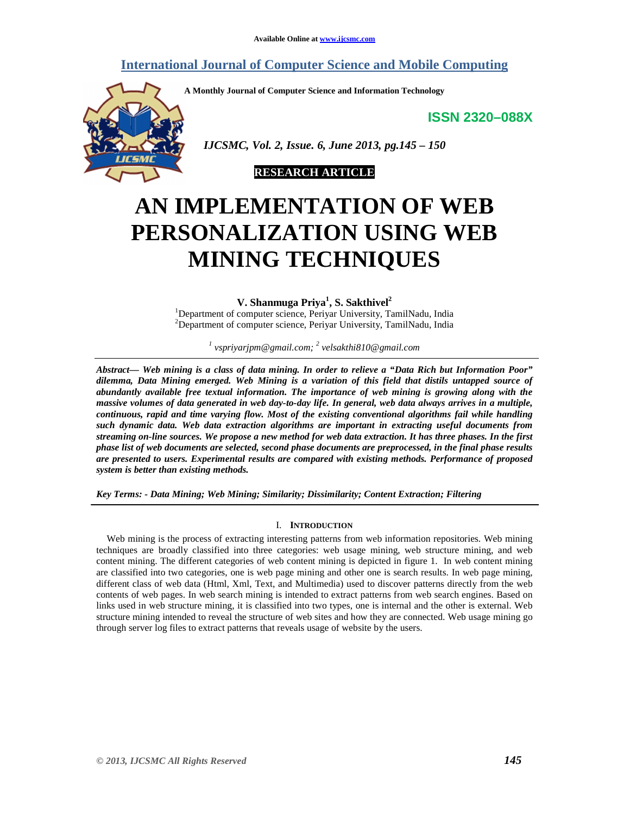# **International Journal of Computer Science and Mobile Computing**

**A Monthly Journal of Computer Science and Information Technology** 

**ISSN 2320–088X**



 *IJCSMC, Vol. 2, Issue. 6, June 2013, pg.145 – 150* 



# **AN IMPLEMENTATION OF WEB PERSONALIZATION USING WEB MINING TECHNIQUES**

**V. Shanmuga Priya<sup>1</sup> , S. Sakthivel<sup>2</sup>**

<sup>1</sup>Department of computer science, Periyar University, TamilNadu, India <sup>2</sup>Department of computer science, Periyar University, TamilNadu, India

*1 vspriyarjpm@gmail.com; <sup>2</sup> velsakthi810@gmail.com*

*Abstract— Web mining is a class of data mining. In order to relieve a "Data Rich but Information Poor" dilemma, Data Mining emerged. Web Mining is a variation of this field that distils untapped source of abundantly available free textual information. The importance of web mining is growing along with the massive volumes of data generated in web day-to-day life. In general, web data always arrives in a multiple, continuous, rapid and time varying flow. Most of the existing conventional algorithms fail while handling such dynamic data. Web data extraction algorithms are important in extracting useful documents from streaming on-line sources. We propose a new method for web data extraction. It has three phases. In the first phase list of web documents are selected, second phase documents are preprocessed, in the final phase results are presented to users. Experimental results are compared with existing methods. Performance of proposed system is better than existing methods.* 

*Key Terms: - Data Mining; Web Mining; Similarity; Dissimilarity; Content Extraction; Filtering* 

# I. **INTRODUCTION**

Web mining is the process of extracting interesting patterns from web information repositories. Web mining techniques are broadly classified into three categories: web usage mining, web structure mining, and web content mining. The different categories of web content mining is depicted in figure 1. In web content mining are classified into two categories, one is web page mining and other one is search results. In web page mining, different class of web data (Html, Xml, Text, and Multimedia) used to discover patterns directly from the web contents of web pages. In web search mining is intended to extract patterns from web search engines. Based on links used in web structure mining, it is classified into two types, one is internal and the other is external. Web structure mining intended to reveal the structure of web sites and how they are connected. Web usage mining go through server log files to extract patterns that reveals usage of website by the users.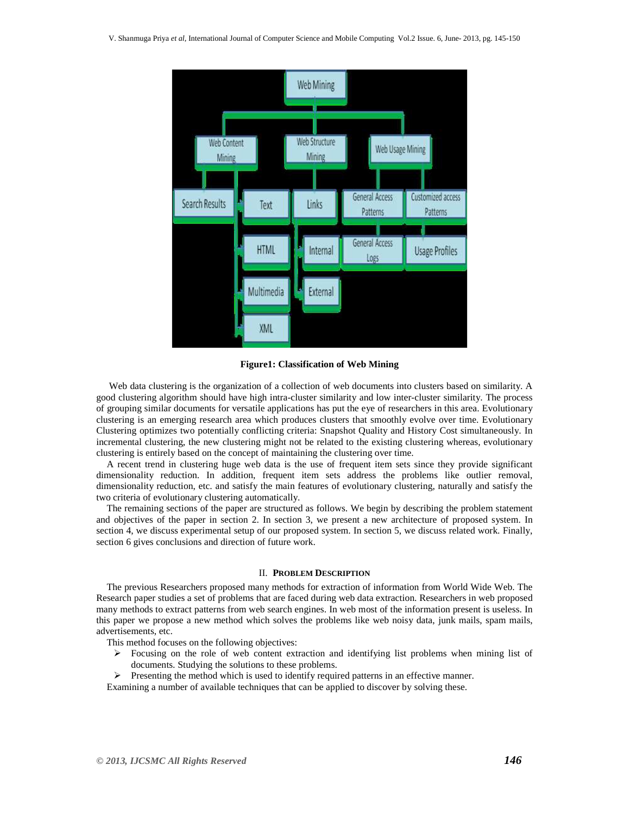

**Figure1: Classification of Web Mining** 

 Web data clustering is the organization of a collection of web documents into clusters based on similarity. A good clustering algorithm should have high intra-cluster similarity and low inter-cluster similarity. The process of grouping similar documents for versatile applications has put the eye of researchers in this area. Evolutionary clustering is an emerging research area which produces clusters that smoothly evolve over time. Evolutionary Clustering optimizes two potentially conflicting criteria: Snapshot Quality and History Cost simultaneously. In incremental clustering, the new clustering might not be related to the existing clustering whereas, evolutionary clustering is entirely based on the concept of maintaining the clustering over time.

A recent trend in clustering huge web data is the use of frequent item sets since they provide significant dimensionality reduction. In addition, frequent item sets address the problems like outlier removal, dimensionality reduction, etc. and satisfy the main features of evolutionary clustering, naturally and satisfy the two criteria of evolutionary clustering automatically.

The remaining sections of the paper are structured as follows. We begin by describing the problem statement and objectives of the paper in section 2. In section 3, we present a new architecture of proposed system. In section 4, we discuss experimental setup of our proposed system. In section 5, we discuss related work. Finally, section 6 gives conclusions and direction of future work.

#### II. **PROBLEM DESCRIPTION**

The previous Researchers proposed many methods for extraction of information from World Wide Web. The Research paper studies a set of problems that are faced during web data extraction. Researchers in web proposed many methods to extract patterns from web search engines. In web most of the information present is useless. In this paper we propose a new method which solves the problems like web noisy data, junk mails, spam mails, advertisements, etc.

This method focuses on the following objectives:

- $\triangleright$  Focusing on the role of web content extraction and identifying list problems when mining list of documents. Studying the solutions to these problems.
- $\triangleright$  Presenting the method which is used to identify required patterns in an effective manner.

Examining a number of available techniques that can be applied to discover by solving these.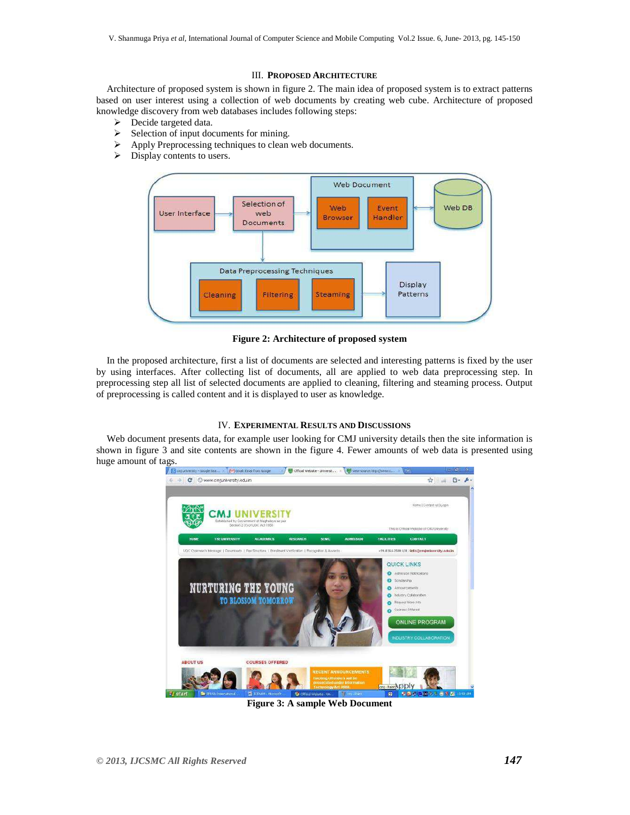#### III. **PROPOSED ARCHITECTURE**

Architecture of proposed system is shown in figure 2. The main idea of proposed system is to extract patterns based on user interest using a collection of web documents by creating web cube. Architecture of proposed knowledge discovery from web databases includes following steps:

- $\triangleright$  Decide targeted data.
- $\triangleright$  Selection of input documents for mining.
- Apply Preprocessing techniques to clean web documents.
- $\triangleright$  Display contents to users.



**Figure 2: Architecture of proposed system**

In the proposed architecture, first a list of documents are selected and interesting patterns is fixed by the user by using interfaces. After collecting list of documents, all are applied to web data preprocessing step. In preprocessing step all list of selected documents are applied to cleaning, filtering and steaming process. Output of preprocessing is called content and it is displayed to user as knowledge.

## IV. **EXPERIMENTAL RESULTS AND DISCUSSIONS**

Web document presents data, for example user looking for CMJ university details then the site information is shown in figure 3 and site contents are shown in the figure 4. Fewer amounts of web data is presented using huge amount of tags.



**Figure 3: A sample Web Document**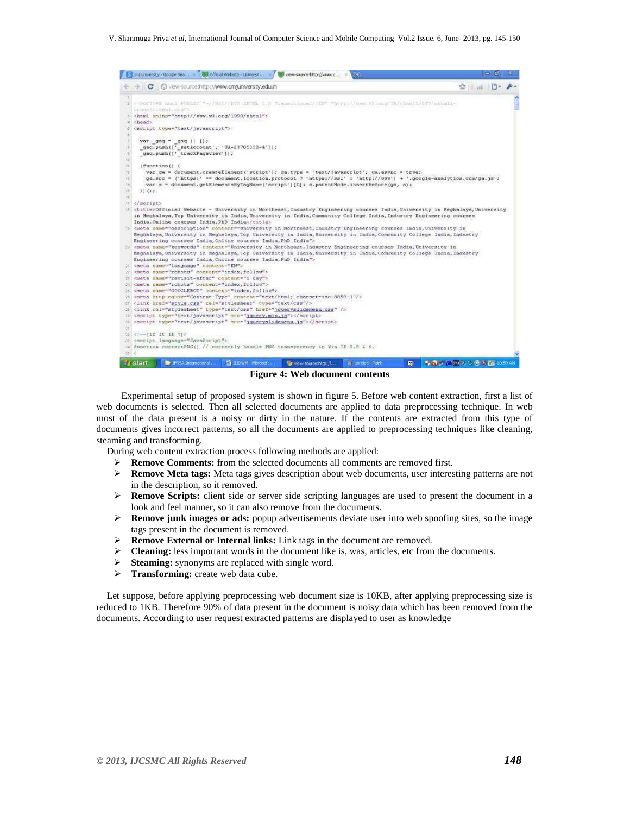V. Shanmuga Priya *et al*, International Journal of Computer Science and Mobile Computing Vol.2 Issue. 6, June- 2013, pg. 145-150



**Figure 4: Web document contents** 

 Experimental setup of proposed system is shown in figure 5. Before web content extraction, first a list of web documents is selected. Then all selected documents are applied to data preprocessing technique. In web most of the data present is a noisy or dirty in the nature. If the contents are extracted from this type of documents gives incorrect patterns, so all the documents are applied to preprocessing techniques like cleaning, steaming and transforming.

During web content extraction process following methods are applied:

- **Remove Comments:** from the selected documents all comments are removed first.
- **Remove Meta tags:** Meta tags gives description about web documents, user interesting patterns are not in the description, so it removed.
- **Remove Scripts:** client side or server side scripting languages are used to present the document in a look and feel manner, so it can also remove from the documents.
- **Remove junk images or ads:** popup advertisements deviate user into web spoofing sites, so the image tags present in the document is removed.
- **Remove External or Internal links:** Link tags in the document are removed.
- **Cleaning:** less important words in the document like is, was, articles, etc from the documents.
- **Steaming:** synonyms are replaced with single word.
- > **Transforming:** create web data cube.

Let suppose, before applying preprocessing web document size is 10KB, after applying preprocessing size is reduced to 1KB. Therefore 90% of data present in the document is noisy data which has been removed from the documents. According to user request extracted patterns are displayed to user as knowledge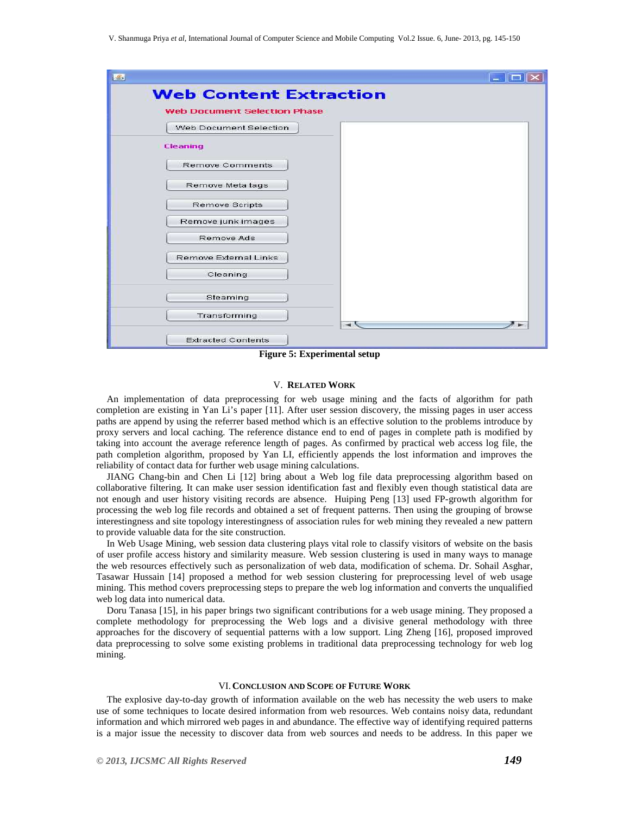

**Figure 5: Experimental setup**

# V. **RELATED WORK**

An implementation of data preprocessing for web usage mining and the facts of algorithm for path completion are existing in Yan Li's paper [11]. After user session discovery, the missing pages in user access paths are append by using the referrer based method which is an effective solution to the problems introduce by proxy servers and local caching. The reference distance end to end of pages in complete path is modified by taking into account the average reference length of pages. As confirmed by practical web access log file, the path completion algorithm, proposed by Yan LI, efficiently appends the lost information and improves the reliability of contact data for further web usage mining calculations.

JIANG Chang-bin and Chen Li [12] bring about a Web log file data preprocessing algorithm based on collaborative filtering. It can make user session identification fast and flexibly even though statistical data are not enough and user history visiting records are absence. Huiping Peng [13] used FP-growth algorithm for processing the web log file records and obtained a set of frequent patterns. Then using the grouping of browse interestingness and site topology interestingness of association rules for web mining they revealed a new pattern to provide valuable data for the site construction.

In Web Usage Mining, web session data clustering plays vital role to classify visitors of website on the basis of user profile access history and similarity measure. Web session clustering is used in many ways to manage the web resources effectively such as personalization of web data, modification of schema. Dr. Sohail Asghar, Tasawar Hussain [14] proposed a method for web session clustering for preprocessing level of web usage mining. This method covers preprocessing steps to prepare the web log information and converts the unqualified web log data into numerical data.

Doru Tanasa [15], in his paper brings two significant contributions for a web usage mining. They proposed a complete methodology for preprocessing the Web logs and a divisive general methodology with three approaches for the discovery of sequential patterns with a low support. Ling Zheng [16], proposed improved data preprocessing to solve some existing problems in traditional data preprocessing technology for web log mining.

### VI. **CONCLUSION AND SCOPE OF FUTURE WORK**

The explosive day-to-day growth of information available on the web has necessity the web users to make use of some techniques to locate desired information from web resources. Web contains noisy data, redundant information and which mirrored web pages in and abundance. The effective way of identifying required patterns is a major issue the necessity to discover data from web sources and needs to be address. In this paper we